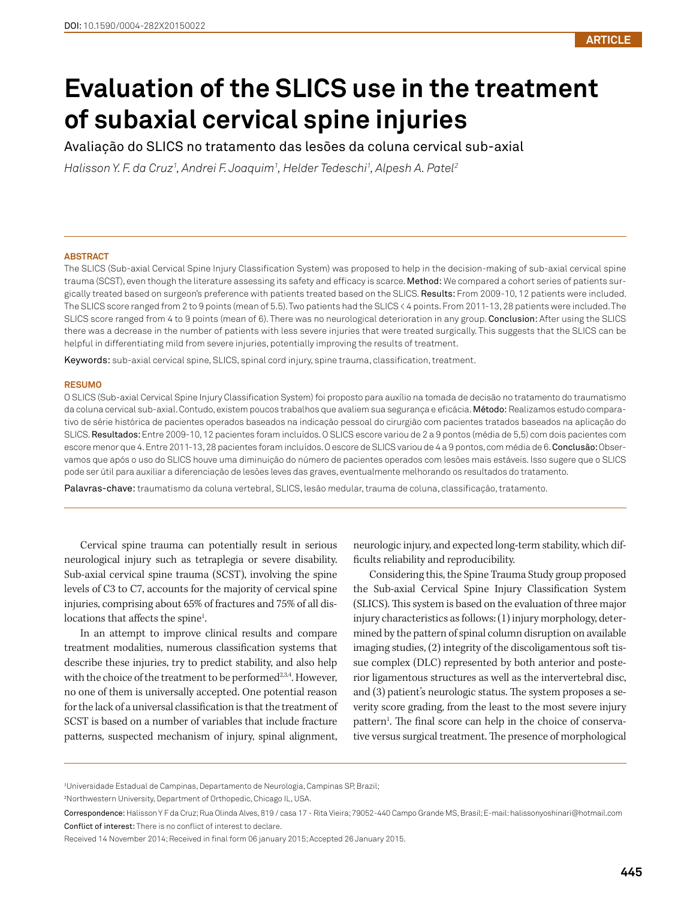# **Evaluation of the SLICS use in the treatment of subaxial cervical spine injuries**

Avaliação do SLICS no tratamento das lesões da coluna cervical sub-axial

*Halisson Y. F. da Cruz1 , Andrei F. Joaquim1 , Helder Tedeschi1 , Alpesh A. Patel2*

#### **ABSTRACT**

The SLICS (Sub-axial Cervical Spine Injury Classification System) was proposed to help in the decision-making of sub-axial cervical spine trauma (SCST), even though the literature assessing its safety and efficacy is scarce. Method: We compared a cohort series of patients surgically treated based on surgeon's preference with patients treated based on the SLICS. Results: From 2009-10, 12 patients were included. The SLICS score ranged from 2 to 9 points (mean of 5.5). Two patients had the SLICS < 4 points. From 2011-13, 28 patients were included. The SLICS score ranged from 4 to 9 points (mean of 6). There was no neurological deterioration in any group. Conclusion: After using the SLICS there was a decrease in the number of patients with less severe injuries that were treated surgically. This suggests that the SLICS can be helpful in differentiating mild from severe injuries, potentially improving the results of treatment.

Keywords: sub-axial cervical spine, SLICS, spinal cord injury, spine trauma, classification, treatment.

#### **RESUMO**

O SLICS (Sub-axial Cervical Spine Injury Classification System) foi proposto para auxílio na tomada de decisão no tratamento do traumatismo da coluna cervical sub-axial. Contudo, existem poucos trabalhos que avaliem sua segurança e eficácia. Método: Realizamos estudo comparativo de série histórica de pacientes operados baseados na indicação pessoal do cirurgião com pacientes tratados baseados na aplicação do SLICS. Resultados: Entre 2009-10, 12 pacientes foram incluídos. O SLICS escore variou de 2 a 9 pontos (média de 5,5) com dois pacientes com escore menor que 4. Entre 2011-13, 28 pacientes foram incluídos. O escore de SLICS variou de 4 a 9 pontos, com média de 6. Conclusão: Observamos que após o uso do SLICS houve uma diminuição do número de pacientes operados com lesões mais estáveis. Isso sugere que o SLICS pode ser útil para auxiliar a diferenciação de lesões leves das graves, eventualmente melhorando os resultados do tratamento.

Palavras-chave: traumatismo da coluna vertebral, SLICS, lesão medular, trauma de coluna, classificação, tratamento.

Cervical spine trauma can potentially result in serious neurological injury such as tetraplegia or severe disability. Sub-axial cervical spine trauma (SCST), involving the spine levels of C3 to C7, accounts for the majority of cervical spine injuries, comprising about 65% of fractures and 75% of all dislocations that affects the spine<sup>1</sup>. .

In an attempt to improve clinical results and compare treatment modalities, numerous classification systems that describe these injuries, try to predict stability, and also help with the choice of the treatment to be performed<sup>2,3,4</sup>. However, no one of them is universally accepted. One potential reason for the lack of a universal classification is that the treatment of SCST is based on a number of variables that include fracture patterns, suspected mechanism of injury, spinal alignment,

neurologic injury, and expected long-term stability, which difficults reliability and reproducibility.

Considering this, the Spine Trauma Study group proposed the Sub-axial Cervical Spine Injury Classification System (SLICS). This system is based on the evaluation of three major injury characteristics as follows: (1) injury morphology, determined by the pattern of spinal column disruption on available imaging studies, (2) integrity of the discoligamentous soft tissue complex (DLC) represented by both anterior and posterior ligamentous structures as well as the intervertebral disc, and (3) patient's neurologic status. The system proposes a severity score grading, from the least to the most severe injury pattern<sup>1</sup>. The final score can help in the choice of conservative versus surgical treatment. The presence of morphological

Correspondence: Halisson Y F da Cruz; Rua Olinda Alves, 819 / casa 17 - Rita Vieira; 79052-440 Campo Grande MS, Brasil; E-mail: halissonyoshinari@hotmail.com Conflict of interest: There is no conflict of interest to declare.

<sup>1</sup> Universidade Estadual de Campinas, Departamento de Neurologia, Campinas SP, Brazil;

<sup>2</sup> Northwestern University, Department of Orthopedic, Chicago IL, USA.

Received 14 November 2014; Received in final form 06 january 2015; Accepted 26 January 2015.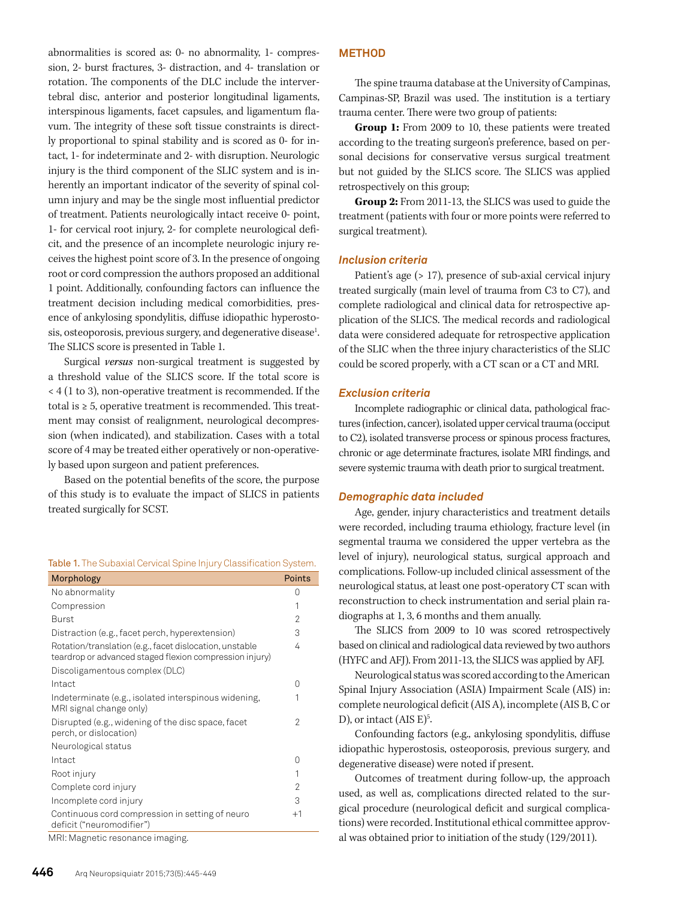abnormalities is scored as: 0- no abnormality, 1- compression, 2- burst fractures, 3- distraction, and 4- translation or rotation. The components of the DLC include the intervertebral disc, anterior and posterior longitudinal ligaments, interspinous ligaments, facet capsules, and ligamentum flavum. The integrity of these soft tissue constraints is directly proportional to spinal stability and is scored as 0- for intact, 1- for indeterminate and 2- with disruption. Neurologic injury is the third component of the SLIC system and is inherently an important indicator of the severity of spinal column injury and may be the single most influential predictor of treatment. Patients neurologically intact receive 0- point, 1- for cervical root injury, 2- for complete neurological deficit, and the presence of an incomplete neurologic injury receives the highest point score of 3. In the presence of ongoing root or cord compression the authors proposed an additional 1 point. Additionally, confounding factors can influence the treatment decision including medical comorbidities, presence of ankylosing spondylitis, diffuse idiopathic hyperostosis, osteoporosis, previous surgery, and degenerative disease<sup>1</sup>. The SLICS score is presented in Table 1.

Surgical *versus* non-surgical treatment is suggested by a threshold value of the SLICS score. If the total score is < 4 (1 to 3), non-operative treatment is recommended. If the total is ≥ 5, operative treatment is recommended. This treatment may consist of realignment, neurological decompression (when indicated), and stabilization. Cases with a total score of 4 may be treated either operatively or non-operatively based upon surgeon and patient preferences.

Based on the potential benefits of the score, the purpose of this study is to evaluate the impact of SLICS in patients treated surgically for SCST.

Table 1. The Subaxial Cervical Spine Injury Classification System.

| Morphology                                                                                                         | Points           |
|--------------------------------------------------------------------------------------------------------------------|------------------|
| No abnormality                                                                                                     | O                |
| Compression                                                                                                        | 1                |
| Burst                                                                                                              | 2                |
| Distraction (e.g., facet perch, hyperextension)                                                                    | 3                |
| Rotation/translation (e.g., facet dislocation, unstable<br>teardrop or advanced staged flexion compression injury) | 4                |
| Discoligamentous complex (DLC)                                                                                     |                  |
| Intact                                                                                                             | $\left( \right)$ |
| Indeterminate (e.g., isolated interspinous widening,<br>MRI signal change only)                                    |                  |
| Disrupted (e.g., widening of the disc space, facet<br>perch, or dislocation)                                       | 2                |
| Neurological status                                                                                                |                  |
| Intact                                                                                                             | $\left( \right)$ |
| Root injury                                                                                                        | 1                |
| Complete cord injury                                                                                               | 2                |
| Incomplete cord injury                                                                                             | 3                |
| Continuous cord compression in setting of neuro<br>deficit ("neuromodifier")                                       | $+1$             |
|                                                                                                                    |                  |

MRI: Magnetic resonance imaging.

#### **METHOD**

The spine trauma database at the University of Campinas, Campinas-SP, Brazil was used. The institution is a tertiary trauma center. There were two group of patients:

**Group 1:** From 2009 to 10, these patients were treated according to the treating surgeon's preference, based on personal decisions for conservative versus surgical treatment but not guided by the SLICS score. The SLICS was applied retrospectively on this group;

**Group 2:** From 2011-13, the SLICS was used to guide the treatment (patients with four or more points were referred to surgical treatment).

## *Inclusion criteria*

Patient's age (> 17), presence of sub-axial cervical injury treated surgically (main level of trauma from C3 to C7), and complete radiological and clinical data for retrospective application of the SLICS. The medical records and radiological data were considered adequate for retrospective application of the SLIC when the three injury characteristics of the SLIC could be scored properly, with a CT scan or a CT and MRI.

#### *Exclusion criteria*

Incomplete radiographic or clinical data, pathological fractures (infection, cancer), isolated upper cervical trauma (occiput to C2), isolated transverse process or spinous process fractures, chronic or age determinate fractures, isolate MRI findings, and severe systemic trauma with death prior to surgical treatment.

#### *Demographic data included*

Age, gender, injury characteristics and treatment details were recorded, including trauma ethiology, fracture level (in segmental trauma we considered the upper vertebra as the level of injury), neurological status, surgical approach and complications. Follow-up included clinical assessment of the neurological status, at least one post-operatory CT scan with reconstruction to check instrumentation and serial plain radiographs at 1, 3, 6 months and them anually.

The SLICS from 2009 to 10 was scored retrospectively based on clinical and radiological data reviewed by two authors (HYFC and AFJ). From 2011-13, the SLICS was applied by AFJ.

Neurological status was scored according to the American Spinal Injury Association (ASIA) Impairment Scale (AIS) in: complete neurological deficit (AIS A), incomplete (AIS B, C or D), or intact  $(AIS E)^5$ . .

Confounding factors (e.g., ankylosing spondylitis, diffuse idiopathic hyperostosis, osteoporosis, previous surgery, and degenerative disease) were noted if present.

Outcomes of treatment during follow-up, the approach used, as well as, complications directed related to the surgical procedure (neurological deficit and surgical complications) were recorded. Institutional ethical committee approval was obtained prior to initiation of the study (129/2011).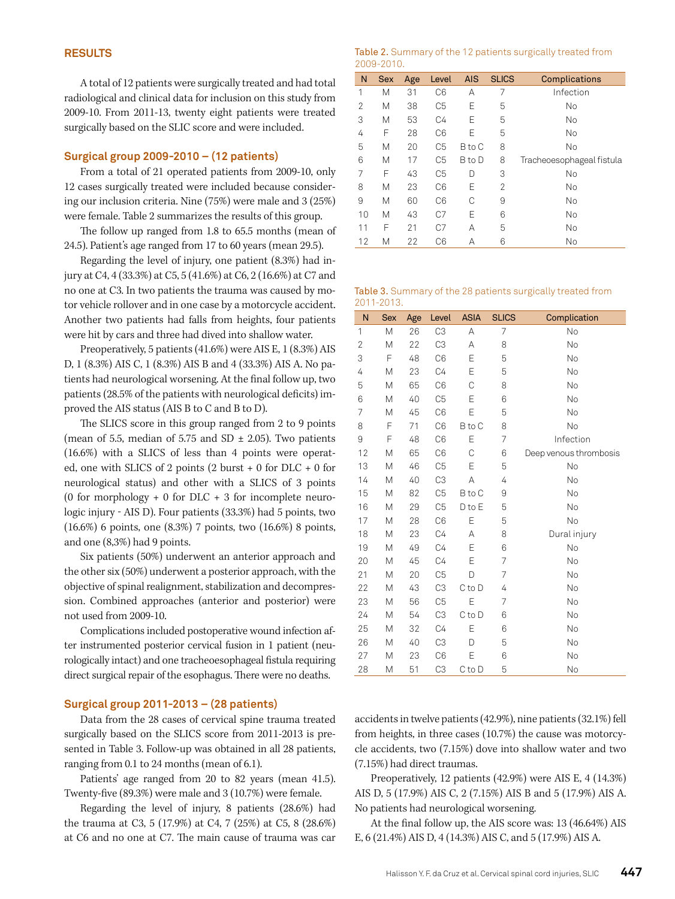A total of 12 patients were surgically treated and had total radiological and clinical data for inclusion on this study from 2009-10. From 2011-13, twenty eight patients were treated surgically based on the SLIC score and were included.

## **Surgical group 2009-2010 – (12 patients)**

From a total of 21 operated patients from 2009-10, only 12 cases surgically treated were included because considering our inclusion criteria. Nine (75%) were male and 3 (25%) were female. Table 2 summarizes the results of this group.

The follow up ranged from 1.8 to 65.5 months (mean of 24.5). Patient's age ranged from 17 to 60 years (mean 29.5).

Regarding the level of injury, one patient (8.3%) had injury at C4, 4 (33.3%) at C5, 5 (41.6%) at C6, 2 (16.6%) at C7 and no one at C3. In two patients the trauma was caused by motor vehicle rollover and in one case by a motorcycle accident. Another two patients had falls from heights, four patients were hit by cars and three had dived into shallow water.

Preoperatively, 5 patients (41.6%) were AIS E, 1 (8.3%) AIS D, 1 (8.3%) AIS C, 1 (8.3%) AIS B and 4 (33.3%) AIS A. No patients had neurological worsening. At the final follow up, two patients (28.5% of the patients with neurological deficits) improved the AIS status (AIS B to C and B to D).

The SLICS score in this group ranged from 2 to 9 points (mean of 5.5, median of 5.75 and SD  $\pm$  2.05). Two patients (16.6%) with a SLICS of less than 4 points were operated, one with SLICS of 2 points (2 burst + 0 for DLC + 0 for neurological status) and other with a SLICS of 3 points (0 for morphology  $+$  0 for DLC  $+$  3 for incomplete neurologic injury - AIS D). Four patients (33.3%) had 5 points, two (16.6%) 6 points, one (8.3%) 7 points, two (16.6%) 8 points, and one (8,3%) had 9 points.

Six patients (50%) underwent an anterior approach and the other six (50%) underwent a posterior approach, with the objective of spinal realignment, stabilization and decompression. Combined approaches (anterior and posterior) were not used from 2009-10.

Complications included postoperative wound infection after instrumented posterior cervical fusion in 1 patient (neurologically intact) and one tracheoesophageal fistula requiring direct surgical repair of the esophagus. There were no deaths.

## **Surgical group 2011-2013 – (28 patients)**

Data from the 28 cases of cervical spine trauma treated surgically based on the SLICS score from 2011-2013 is presented in Table 3. Follow-up was obtained in all 28 patients, ranging from 0.1 to 24 months (mean of 6.1).

Patients' age ranged from 20 to 82 years (mean 41.5). Twenty-five (89.3%) were male and 3 (10.7%) were female.

Regarding the level of injury, 8 patients (28.6%) had the trauma at C3, 5 (17.9%) at C4, 7 (25%) at C5, 8 (28.6%) at C6 and no one at C7. The main cause of trauma was car

| Table 2. Summary of the 12 patients surgically treated from |  |  |
|-------------------------------------------------------------|--|--|
| 2009-2010.                                                  |  |  |

| N  | <b>Sex</b> | Age | Level          | <b>AIS</b> | <b>SLICS</b> | Complications             |
|----|------------|-----|----------------|------------|--------------|---------------------------|
| 1  | М          | 31  | C <sub>6</sub> | А          | 7            | Infection                 |
| 2  | М          | 38  | C5             | F          | 5            | No                        |
| 3  | М          | 53  | C4             | Ε          | 5            | <b>No</b>                 |
| 4  | F          | 28  | C <sub>6</sub> | F          | 5            | <b>No</b>                 |
| 5  | M          | 20  | C5             | B to C     | 8            | <b>No</b>                 |
| 6  | М          | 17  | C5             | B to D     | 8            | Tracheoesophageal fistula |
| 7  | F          | 43  | C5             | D          | 3            | No                        |
| 8  | М          | 23  | C <sub>6</sub> | Ε          | 2            | <b>No</b>                 |
| 9  | М          | 60  | C <sub>6</sub> | C          | 9            | No                        |
| 10 | М          | 43  | C7             | E          | 6            | <b>No</b>                 |
| 11 | F          | 21  | C7             | А          | 5            | <b>No</b>                 |
| 12 | М          | 22  | C <sub>6</sub> | А          | 6            | <b>No</b>                 |

#### Table 3. Summary of the 28 patients surgically treated from 2011-2013.

| N  | <b>Sex</b> | Age | Level          | <b>ASIA</b> | <b>SLICS</b> | Complication           |
|----|------------|-----|----------------|-------------|--------------|------------------------|
| 1  | M          | 26  | C <sub>3</sub> | A           | 7            | No                     |
| 2  | Μ          | 22  | C <sub>3</sub> | A           | 8            | No                     |
| 3  | F          | 48  | C <sub>6</sub> | E           | 5            | No                     |
| 4  | M          | 23  | C4             | E           | 5            | No                     |
| 5  | M          | 65  | C <sub>6</sub> | C           | 8            | No                     |
| 6  | M          | 40  | C <sub>5</sub> | E           | 6            | No                     |
| 7  | Μ          | 45  | C <sub>6</sub> | E           | 5            | <b>No</b>              |
| 8  | F          | 71  | C <sub>6</sub> | B to C      | 8            | No                     |
| 9  | F          | 48  | C <sub>6</sub> | Ε           | 7            | Infection              |
| 12 | Μ          | 65  | C <sub>6</sub> | С           | 6            | Deep venous thrombosis |
| 13 | M          | 46  | C <sub>5</sub> | E           | 5            | No                     |
| 14 | M          | 40  | C <sub>3</sub> | A           | 4            | No                     |
| 15 | М          | 82  | C <sub>5</sub> | B to C      | 9            | <b>No</b>              |
| 16 | M          | 29  | C <sub>5</sub> | D to E      | 5            | No                     |
| 17 | Μ          | 28  | C <sub>6</sub> | E           | 5            | No                     |
| 18 | Μ          | 23  | C4             | А           | 8            | Dural injury           |
| 19 | M          | 49  | C4             | Ε           | 6            | No                     |
| 20 | Μ          | 45  | C4             | E           | 7            | No                     |
| 21 | М          | 20  | C <sub>5</sub> | D           | 7            | <b>No</b>              |
| 22 | M          | 43  | C <sub>3</sub> | C to D      | 4            | No                     |
| 23 | M          | 56  | C <sub>5</sub> | E           | 7            | No                     |
| 24 | M          | 54  | C <sub>3</sub> | C to D      | 6            | No                     |
| 25 | M          | 32  | C4             | E           | 6            | No                     |
| 26 | M          | 40  | C <sub>3</sub> | D           | 5            | No                     |
| 27 | Μ          | 23  | C <sub>6</sub> | E           | 6            | No                     |
| 28 | M          | 51  | C <sub>3</sub> | C to D      | 5            | No                     |

accidents in twelve patients (42.9%), nine patients (32.1%) fell from heights, in three cases (10.7%) the cause was motorcycle accidents, two (7.15%) dove into shallow water and two (7.15%) had direct traumas.

Preoperatively, 12 patients (42.9%) were AIS E, 4 (14.3%) AIS D, 5 (17.9%) AIS C, 2 (7.15%) AIS B and 5 (17.9%) AIS A. No patients had neurological worsening.

At the final follow up, the AIS score was: 13 (46.64%) AIS E, 6 (21.4%) AIS D, 4 (14.3%) AIS C, and 5 (17.9%) AIS A.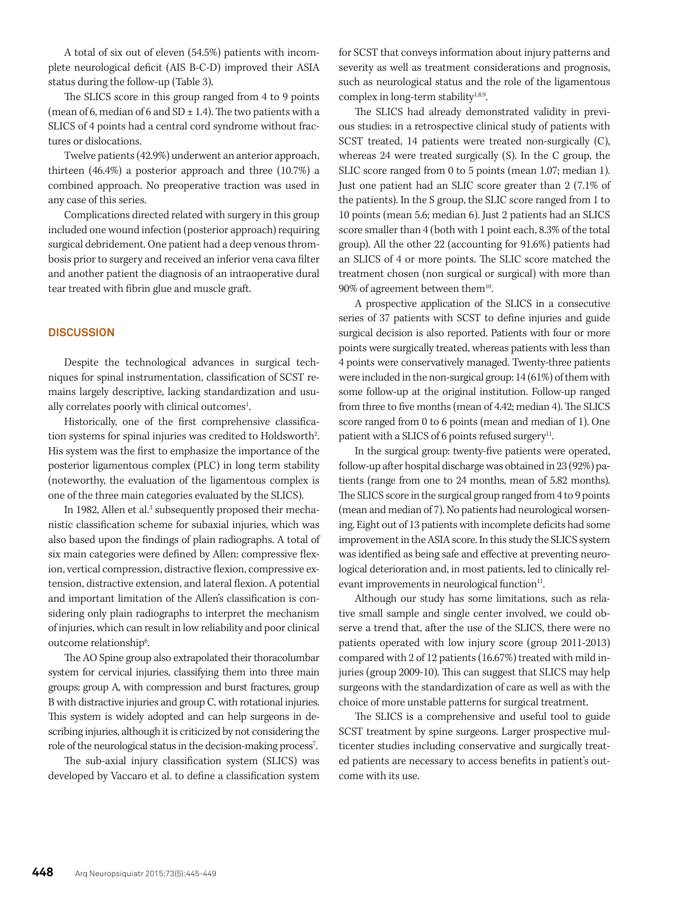A total of six out of eleven (54.5%) patients with incomplete neurological deficit (AIS B-C-D) improved their ASIA status during the follow-up (Table 3).

The SLICS score in this group ranged from 4 to 9 points (mean of 6, median of 6 and  $SD \pm 1.4$ ). The two patients with a SLICS of 4 points had a central cord syndrome without fractures or dislocations.

Twelve patients (42.9%) underwent an anterior approach, thirteen (46.4%) a posterior approach and three (10.7%) a combined approach. No preoperative traction was used in any case of this series.

Complications directed related with surgery in this group included one wound infection (posterior approach) requiring surgical debridement. One patient had a deep venous thrombosis prior to surgery and received an inferior vena cava filter and another patient the diagnosis of an intraoperative dural tear treated with fibrin glue and muscle graft.

## **DISCUSSION**

Despite the technological advances in surgical techniques for spinal instrumentation, classification of SCST remains largely descriptive, lacking standardization and usually correlates poorly with clinical outcomes<sup>1</sup>. .

Historically, one of the first comprehensive classification systems for spinal injuries was credited to Holdsworth<sup>2</sup>. His system was the first to emphasize the importance of the posterior ligamentous complex (PLC) in long term stability (noteworthy, the evaluation of the ligamentous complex is one of the three main categories evaluated by the SLICS).

In 1982, Allen et al.<sup>3</sup> subsequently proposed their mechanistic classification scheme for subaxial injuries, which was also based upon the findings of plain radiographs. A total of six main categories were defined by Allen: compressive flexion, vertical compression, distractive flexion, compressive extension, distractive extension, and lateral flexion. A potential and important limitation of the Allen's classification is considering only plain radiographs to interpret the mechanism of injuries, which can result in low reliability and poor clinical outcome relationship<sup>6</sup>. .

The AO Spine group also extrapolated their thoracolumbar system for cervical injuries, classifying them into three main groups: group A, with compression and burst fractures, group B with distractive injuries and group C, with rotational injuries. This system is widely adopted and can help surgeons in describing injuries, although it is criticized by not considering the role of the neurological status in the decision-making process<sup>7</sup>. .

The sub-axial injury classification system (SLICS) was developed by Vaccaro et al. to define a classification system for SCST that conveys information about injury patterns and severity as well as treatment considerations and prognosis, such as neurological status and the role of the ligamentous complex in long-term stability $1,8,9$ .

The SLICS had already demonstrated validity in previous studies: in a retrospective clinical study of patients with SCST treated, 14 patients were treated non-surgically (C), whereas 24 were treated surgically (S). In the C group, the SLIC score ranged from 0 to 5 points (mean 1.07; median 1). Just one patient had an SLIC score greater than 2 (7.1% of the patients). In the S group, the SLIC score ranged from 1 to 10 points (mean 5.6; median 6). Just 2 patients had an SLICS score smaller than 4 (both with 1 point each, 8.3% of the total group). All the other 22 (accounting for 91.6%) patients had an SLICS of 4 or more points. The SLIC score matched the treatment chosen (non surgical or surgical) with more than  $90\%$  of agreement between them<sup>10</sup>.

A prospective application of the SLICS in a consecutive series of 37 patients with SCST to define injuries and guide surgical decision is also reported. Patients with four or more points were surgically treated, whereas patients with less than 4 points were conservatively managed. Twenty-three patients were included in the non-surgical group: 14 (61%) of them with some follow-up at the original institution. Follow-up ranged from three to five months (mean of 4.42; median 4). The SLICS score ranged from 0 to 6 points (mean and median of 1). One patient with a SLICS of 6 points refused surgery $<sup>11</sup>$ .</sup>

In the surgical group: twenty-five patients were operated, follow-up after hospital discharge was obtained in 23 (92%) patients (range from one to 24 months, mean of 5.82 months). The SLICS score in the surgical group ranged from 4 to 9 points (mean and median of 7). No patients had neurological worsening. Eight out of 13 patients with incomplete deficits had some improvement in the ASIA score. In this study the SLICS system was identified as being safe and effective at preventing neurological deterioration and, in most patients, led to clinically relevant improvements in neurological function $11$ .

Although our study has some limitations, such as relative small sample and single center involved, we could observe a trend that, after the use of the SLICS, there were no patients operated with low injury score (group 2011-2013) compared with 2 of 12 patients (16.67%) treated with mild injuries (group 2009-10). This can suggest that SLICS may help surgeons with the standardization of care as well as with the choice of more unstable patterns for surgical treatment.

The SLICS is a comprehensive and useful tool to guide SCST treatment by spine surgeons. Larger prospective multicenter studies including conservative and surgically treated patients are necessary to access benefits in patient's outcome with its use.